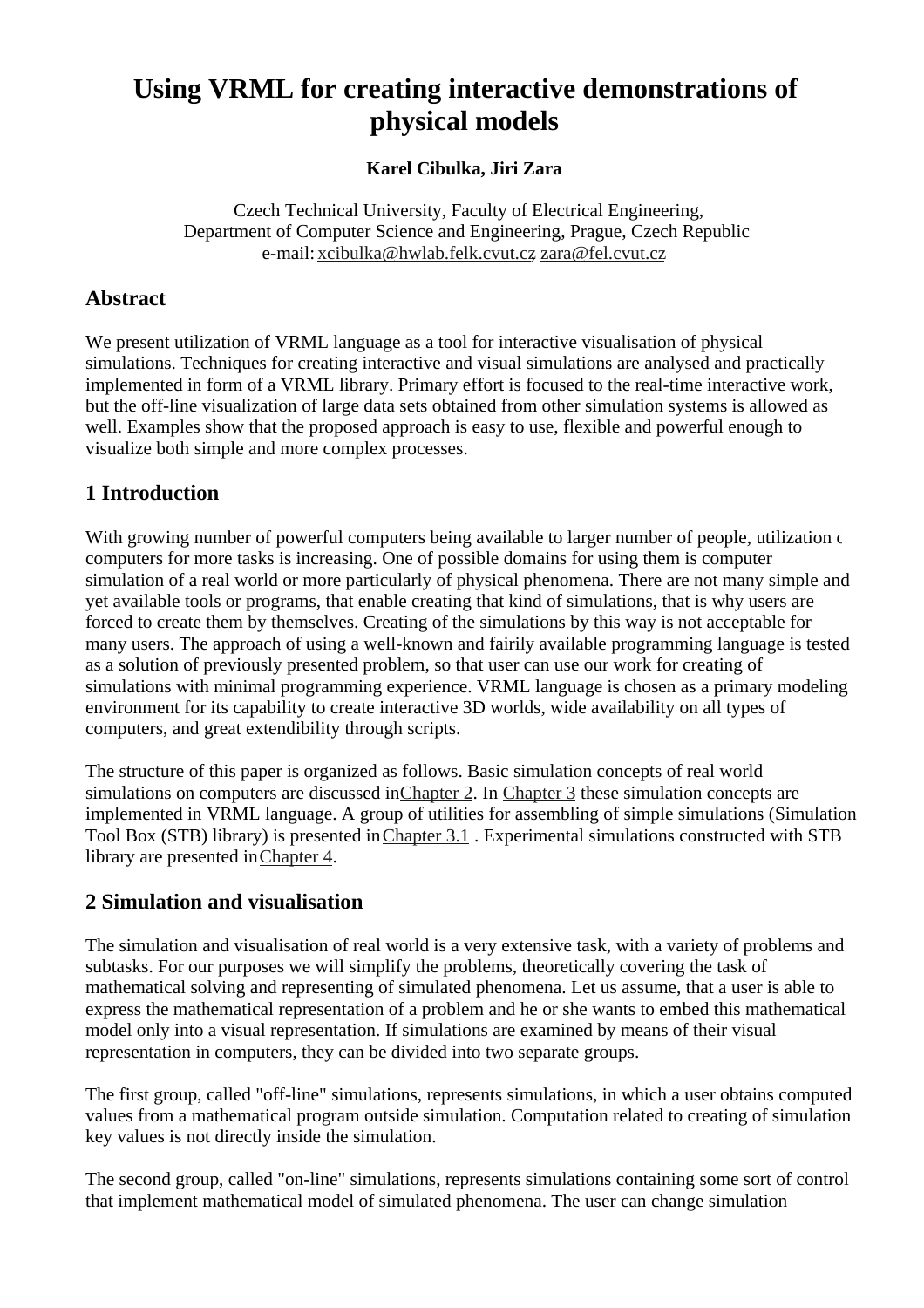# **Using VRML for creating interactive demonstrations of physical models**

#### **Karel Cibulka, Jiri Zara**

Czech Technical University, Faculty of Electrical Engineering, Department of Computer Science and Engineering, Prague, Czech Republic e-mail: xcibulka@hwlab.felk.cvut.cz, zara@fel.cvut.cz

## **Abstract**

We present utilization of VRML language as a tool for interactive visualisation of physical simulations. Techniques for creating interactive and visual simulations are analysed and practically implemented in form of a VRML library. Primary effort is focused to the real-time interactive work, but the off-line visualization of large data sets obtained from other simulation systems is allowed as well. Examples show that the proposed approach is easy to use, flexible and powerful enough to visualize both simple and more complex processes.

# **1 Introduction**

With growing number of powerful computers being available to larger number of people, utilization of computers for more tasks is increasing. One of possible domains for using them is computer simulation of a real world or more particularly of physical phenomena. There are not many simple and yet available tools or programs, that enable creating that kind of simulations, that is why users are forced to create them by themselves. Creating of the simulations by this way is not acceptable for many users. The approach of using a well-known and fairily available programming language is tested as a solution of previously presented problem, so that user can use our work for creating of simulations with minimal programming experience. VRML language is chosen as a primary modeling environment for its capability to create interactive 3D worlds, wide availability on all types of computers, and great extendibility through scripts.

The structure of this paper is organized as follows. Basic simulation concepts of real world simulations on computers are discussed in Chapter 2. In Chapter 3 these simulation concepts are implemented in VRML language. A group of utilities for assembling of simple simulations (Simulation Tool Box (STB) library) is presented in Chapter 3.1 . Experimental simulations constructed with STB library are presented in Chapter 4.

# **2 Simulation and visualisation**

The simulation and visualisation of real world is a very extensive task, with a variety of problems and subtasks. For our purposes we will simplify the problems, theoretically covering the task of mathematical solving and representing of simulated phenomena. Let us assume, that a user is able to express the mathematical representation of a problem and he or she wants to embed this mathematical model only into a visual representation. If simulations are examined by means of their visual representation in computers, they can be divided into two separate groups.

The first group, called "off-line" simulations, represents simulations, in which a user obtains computed values from a mathematical program outside simulation. Computation related to creating of simulation key values is not directly inside the simulation.

The second group, called "on-line" simulations, represents simulations containing some sort of control that implement mathematical model of simulated phenomena. The user can change simulation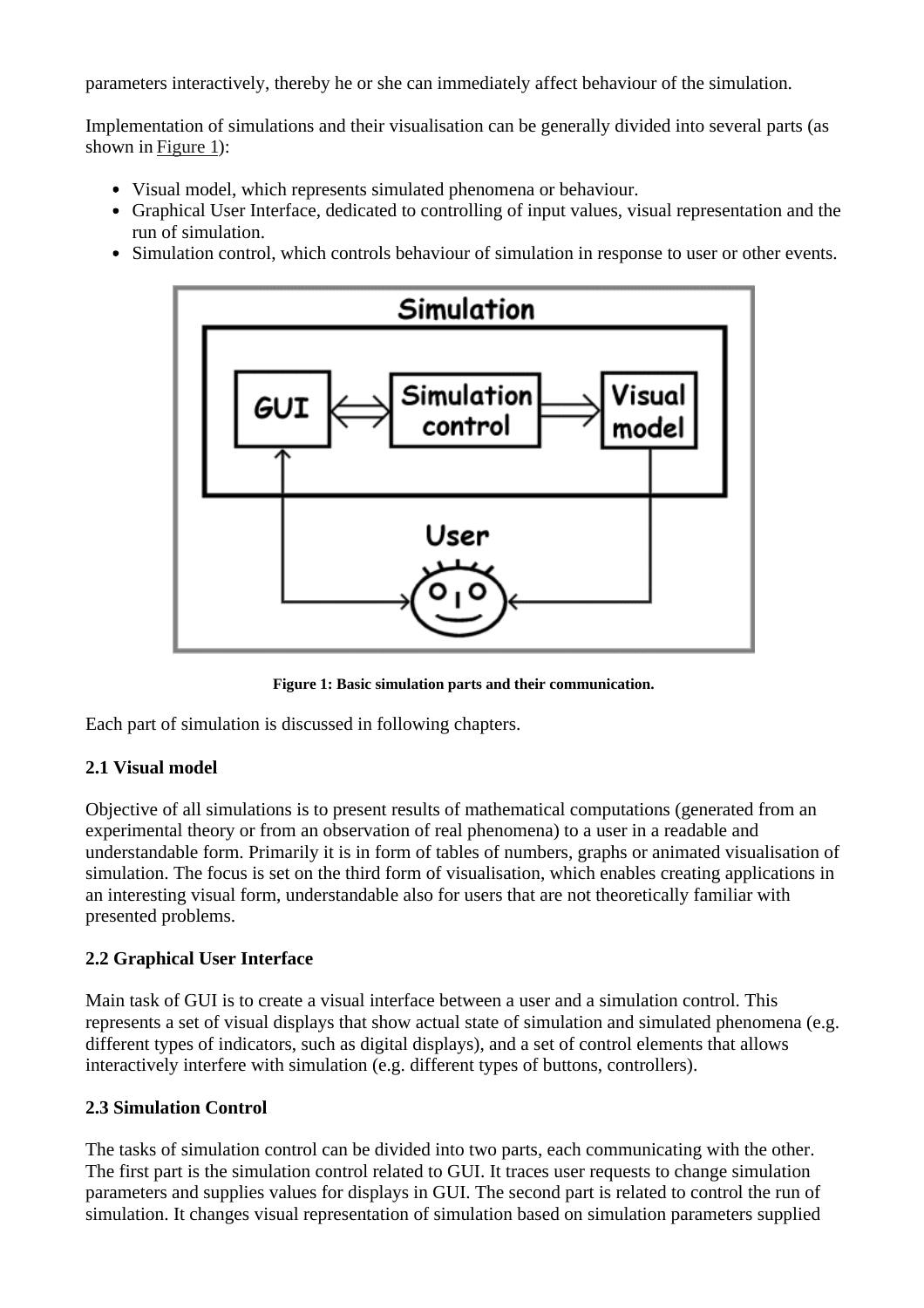parameters interactively, thereby he or she can immediately affect behaviour of the simulation.

Implementation of simulations and their visualisation can be generally divided into several parts (as shown in Figure 1):

- Visual model, which represents simulated phenomena or behaviour.
- Graphical User Interface, dedicated to controlling of input values, visual representation and the run of simulation.
- Simulation control, which controls behaviour of simulation in response to user or other events.



**Figure 1: Basic simulation parts and their communication.**

Each part of simulation is discussed in following chapters.

#### **2.1 Visual model**

Objective of all simulations is to present results of mathematical computations (generated from an experimental theory or from an observation of real phenomena) to a user in a readable and understandable form. Primarily it is in form of tables of numbers, graphs or animated visualisation of simulation. The focus is set on the third form of visualisation, which enables creating applications in an interesting visual form, understandable also for users that are not theoretically familiar with presented problems.

#### **2.2 Graphical User Interface**

Main task of GUI is to create a visual interface between a user and a simulation control. This represents a set of visual displays that show actual state of simulation and simulated phenomena (e.g. different types of indicators, such as digital displays), and a set of control elements that allows interactively interfere with simulation (e.g. different types of buttons, controllers).

#### **2.3 Simulation Control**

The tasks of simulation control can be divided into two parts, each communicating with the other. The first part is the simulation control related to GUI. It traces user requests to change simulation parameters and supplies values for displays in GUI. The second part is related to control the run of simulation. It changes visual representation of simulation based on simulation parameters supplied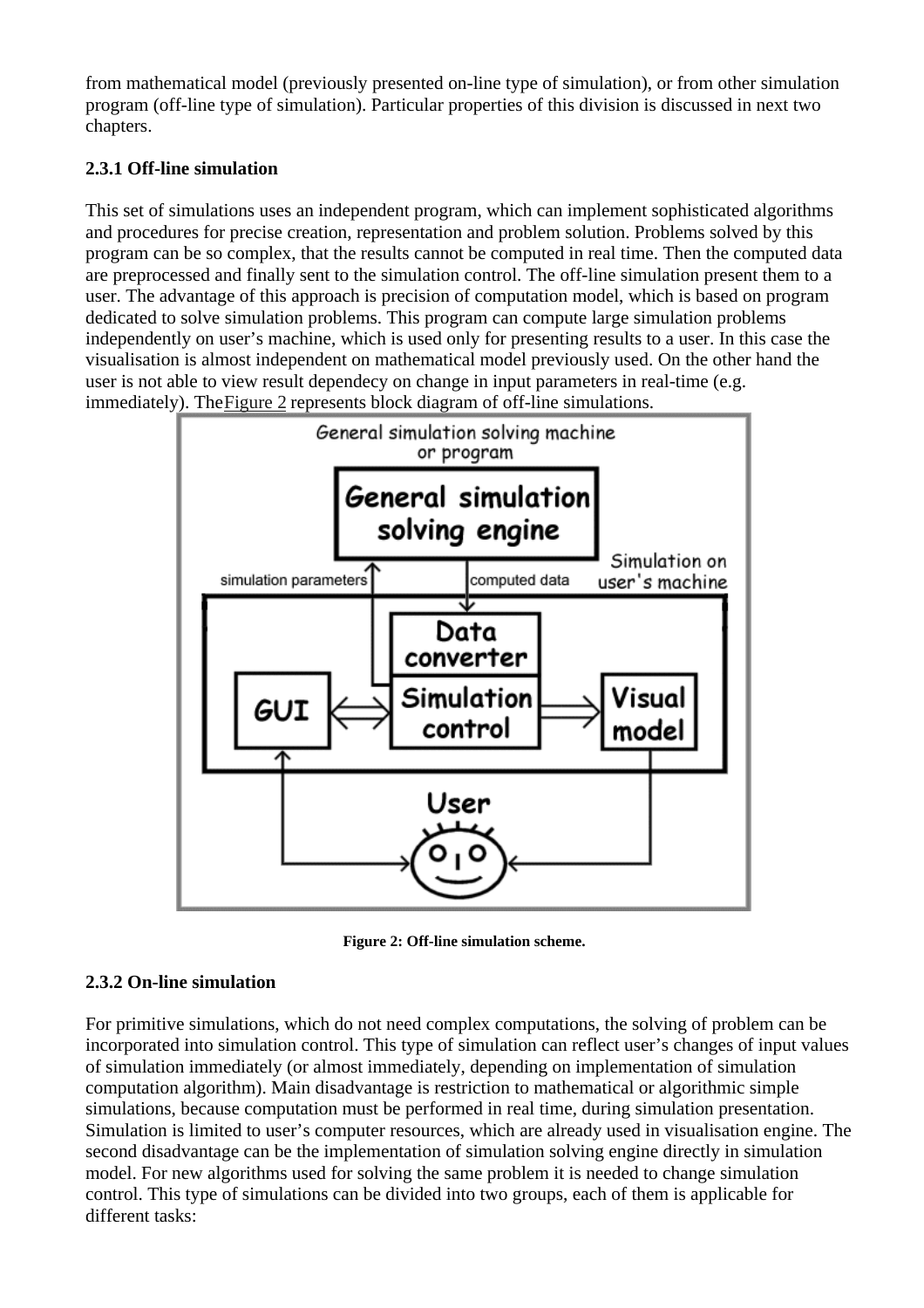from mathematical model (previously presented on-line type of simulation), or from other simulation program (off-line type of simulation). Particular properties of this division is discussed in next two chapters.

### **2.3.1 Off-line simulation**

This set of simulations uses an independent program, which can implement sophisticated algorithms and procedures for precise creation, representation and problem solution. Problems solved by this program can be so complex, that the results cannot be computed in real time. Then the computed data are preprocessed and finally sent to the simulation control. The off-line simulation present them to a user. The advantage of this approach is precision of computation model, which is based on program dedicated to solve simulation problems. This program can compute large simulation problems independently on user's machine, which is used only for presenting results to a user. In this case the visualisation is almost independent on mathematical model previously used. On the other hand the user is not able to view result dependecy on change in input parameters in real-time (e.g. immediately). The Figure 2 represents block diagram of off-line simulations.



**Figure 2: Off-line simulation scheme.**

## **2.3.2 On-line simulation**

For primitive simulations, which do not need complex computations, the solving of problem can be incorporated into simulation control. This type of simulation can reflect user's changes of input values of simulation immediately (or almost immediately, depending on implementation of simulation computation algorithm). Main disadvantage is restriction to mathematical or algorithmic simple simulations, because computation must be performed in real time, during simulation presentation. Simulation is limited to user's computer resources, which are already used in visualisation engine. The second disadvantage can be the implementation of simulation solving engine directly in simulation model. For new algorithms used for solving the same problem it is needed to change simulation control. This type of simulations can be divided into two groups, each of them is applicable for different tasks: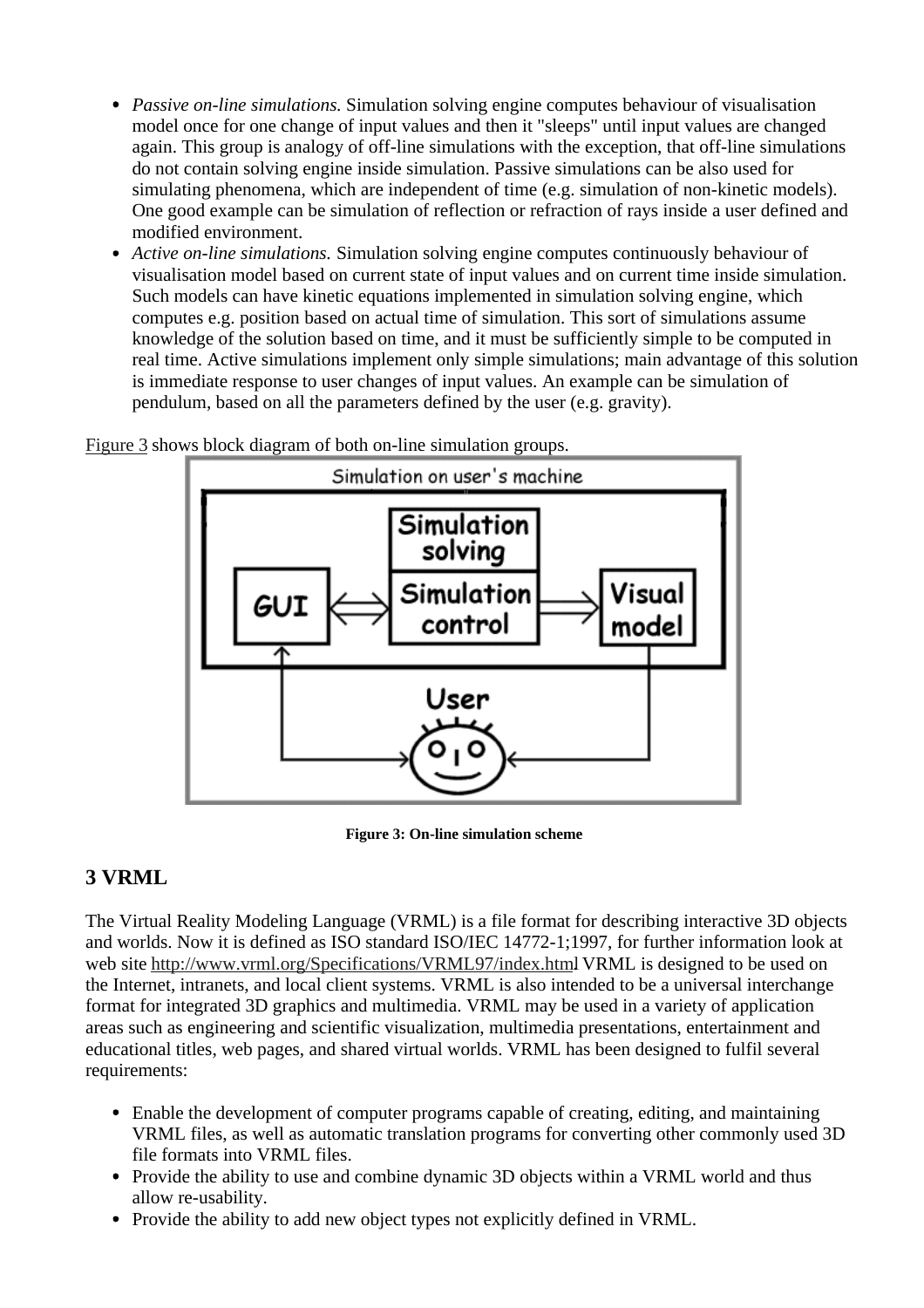- *Passive on-line simulations.* Simulation solving engine computes behaviour of visualisation model once for one change of input values and then it "sleeps" until input values are changed again. This group is analogy of off-line simulations with the exception, that off-line simulations do not contain solving engine inside simulation. Passive simulations can be also used for simulating phenomena, which are independent of time (e.g. simulation of non-kinetic models). One good example can be simulation of reflection or refraction of rays inside a user defined and modified environment.
- *Active on-line simulations.* Simulation solving engine computes continuously behaviour of visualisation model based on current state of input values and on current time inside simulation. Such models can have kinetic equations implemented in simulation solving engine, which computes e.g. position based on actual time of simulation. This sort of simulations assume knowledge of the solution based on time, and it must be sufficiently simple to be computed in real time. Active simulations implement only simple simulations; main advantage of this solution is immediate response to user changes of input values. An example can be simulation of pendulum, based on all the parameters defined by the user (e.g. gravity).



Figure 3 shows block diagram of both on-line simulation groups.

**Figure 3: On-line simulation scheme**

# **3 VRML**

The Virtual Reality Modeling Language (VRML) is a file format for describing interactive 3D objects and worlds. Now it is defined as ISO standard ISO/IEC 14772-1;1997, for further information look at web site http://www.vrml.org/Specifications/VRML97/index.html VRML is designed to be used on the Internet, intranets, and local client systems. VRML is also intended to be a universal interchange format for integrated 3D graphics and multimedia. VRML may be used in a variety of application areas such as engineering and scientific visualization, multimedia presentations, entertainment and educational titles, web pages, and shared virtual worlds. VRML has been designed to fulfil several requirements:

- Enable the development of computer programs capable of creating, editing, and maintaining VRML files, as well as automatic translation programs for converting other commonly used 3D file formats into VRML files.
- Provide the ability to use and combine dynamic 3D objects within a VRML world and thus allow re-usability.
- Provide the ability to add new object types not explicitly defined in VRML.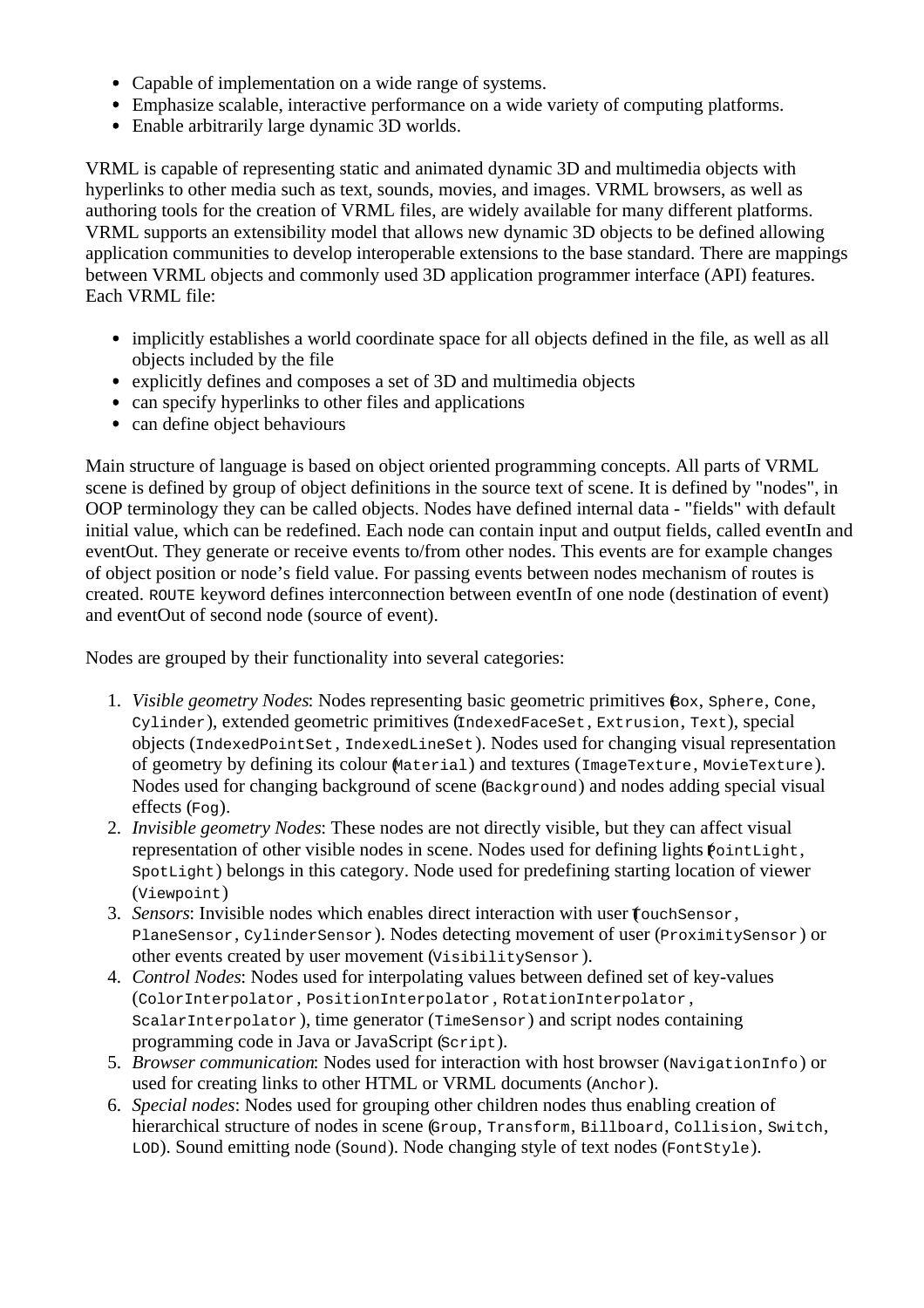- Capable of implementation on a wide range of systems.
- Emphasize scalable, interactive performance on a wide variety of computing platforms.
- Enable arbitrarily large dynamic 3D worlds.

VRML is capable of representing static and animated dynamic 3D and multimedia objects with hyperlinks to other media such as text, sounds, movies, and images. VRML browsers, as well as authoring tools for the creation of VRML files, are widely available for many different platforms. VRML supports an extensibility model that allows new dynamic 3D objects to be defined allowing application communities to develop interoperable extensions to the base standard. There are mappings between VRML objects and commonly used 3D application programmer interface (API) features. Each VRML file:

- implicitly establishes a world coordinate space for all objects defined in the file, as well as all objects included by the file
- explicitly defines and composes a set of 3D and multimedia objects
- can specify hyperlinks to other files and applications
- can define object behaviours

Main structure of language is based on object oriented programming concepts. All parts of VRML scene is defined by group of object definitions in the source text of scene. It is defined by "nodes", in OOP terminology they can be called objects. Nodes have defined internal data - "fields" with default initial value, which can be redefined. Each node can contain input and output fields, called eventIn and eventOut. They generate or receive events to/from other nodes. This events are for example changes of object position or node's field value. For passing events between nodes mechanism of routes is created. ROUTE keyword defines interconnection between eventIn of one node (destination of event) and eventOut of second node (source of event).

Nodes are grouped by their functionality into several categories:

- 1. *Visible geometry Nodes*: Nodes representing basic geometric primitives (Box, Sphere, Cone, Cylinder), extended geometric primitives (IndexedFaceSet, Extrusion, Text), special objects (IndexedPointSet, IndexedLineSet). Nodes used for changing visual representation of geometry by defining its colour (Material) and textures (ImageTexture, MovieTexture). Nodes used for changing background of scene (Background) and nodes adding special visual effects (Fog).
- 2. *Invisible geometry Nodes*: These nodes are not directly visible, but they can affect visual representation of other visible nodes in scene. Nodes used for defining lights  $\phi$ ointLight, SpotLight) belongs in this category. Node used for predefining starting location of viewer (Viewpoint)
- 3. *Sensors*: Invisible nodes which enables direct interaction with user  $\epsilon$  ouch Sensor, PlaneSensor, CylinderSensor). Nodes detecting movement of user (ProximitySensor) or other events created by user movement (VisibilitySensor).
- 4. *Control Nodes*: Nodes used for interpolating values between defined set of key-values (ColorInterpolator , PositionInterpolator , RotationInterpolator ,  $ScalarInterpolator$ , time generator ( $TimeSensor$ ) and script nodes containing programming code in Java or JavaScript (Script).
- 5. *Browser communication*: Nodes used for interaction with host browser (NavigationInfo) or used for creating links to other HTML or VRML documents (Anchor).
- 6. *Special nodes*: Nodes used for grouping other children nodes thus enabling creation of hierarchical structure of nodes in scene (Group, Transform, Billboard, Collision, Switch, LOD). Sound emitting node (Sound). Node changing style of text nodes (FontStyle).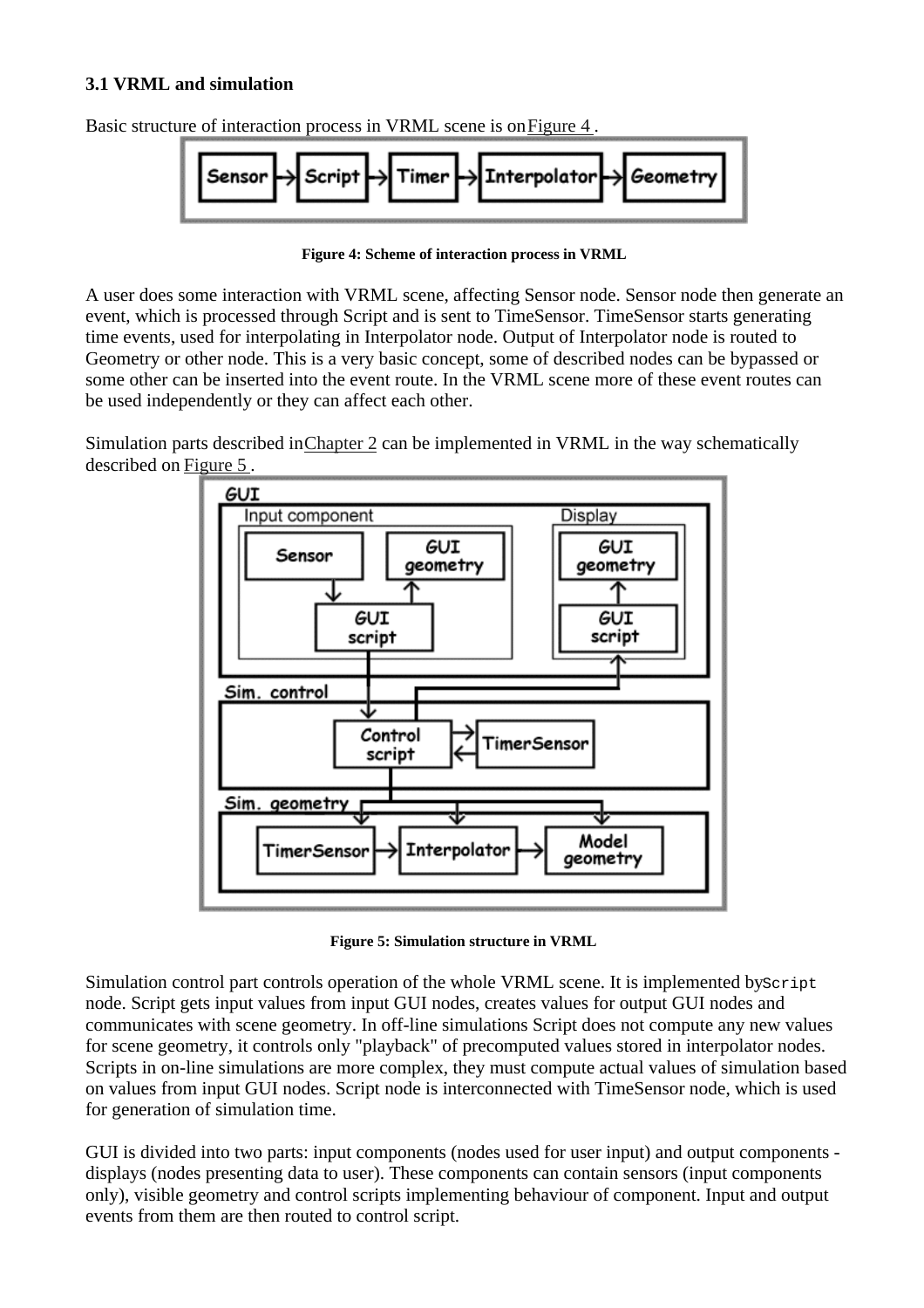#### **3.1 VRML and simulation**

Basic structure of interaction process in VRML scene is on Figure 4 .



**Figure 4: Scheme of interaction process in VRML**

A user does some interaction with VRML scene, affecting Sensor node. Sensor node then generate an event, which is processed through Script and is sent to TimeSensor. TimeSensor starts generating time events, used for interpolating in Interpolator node. Output of Interpolator node is routed to Geometry or other node. This is a very basic concept, some of described nodes can be bypassed or some other can be inserted into the event route. In the VRML scene more of these event routes can be used independently or they can affect each other.

Simulation parts described in Chapter 2 can be implemented in VRML in the way schematically described on Figure 5 .



**Figure 5: Simulation structure in VRML**

Simulation control part controls operation of the whole VRML scene. It is implemented by Script node. Script gets input values from input GUI nodes, creates values for output GUI nodes and communicates with scene geometry. In off-line simulations Script does not compute any new values for scene geometry, it controls only "playback" of precomputed values stored in interpolator nodes. Scripts in on-line simulations are more complex, they must compute actual values of simulation based on values from input GUI nodes. Script node is interconnected with TimeSensor node, which is used for generation of simulation time.

GUI is divided into two parts: input components (nodes used for user input) and output components displays (nodes presenting data to user). These components can contain sensors (input components only), visible geometry and control scripts implementing behaviour of component. Input and output events from them are then routed to control script.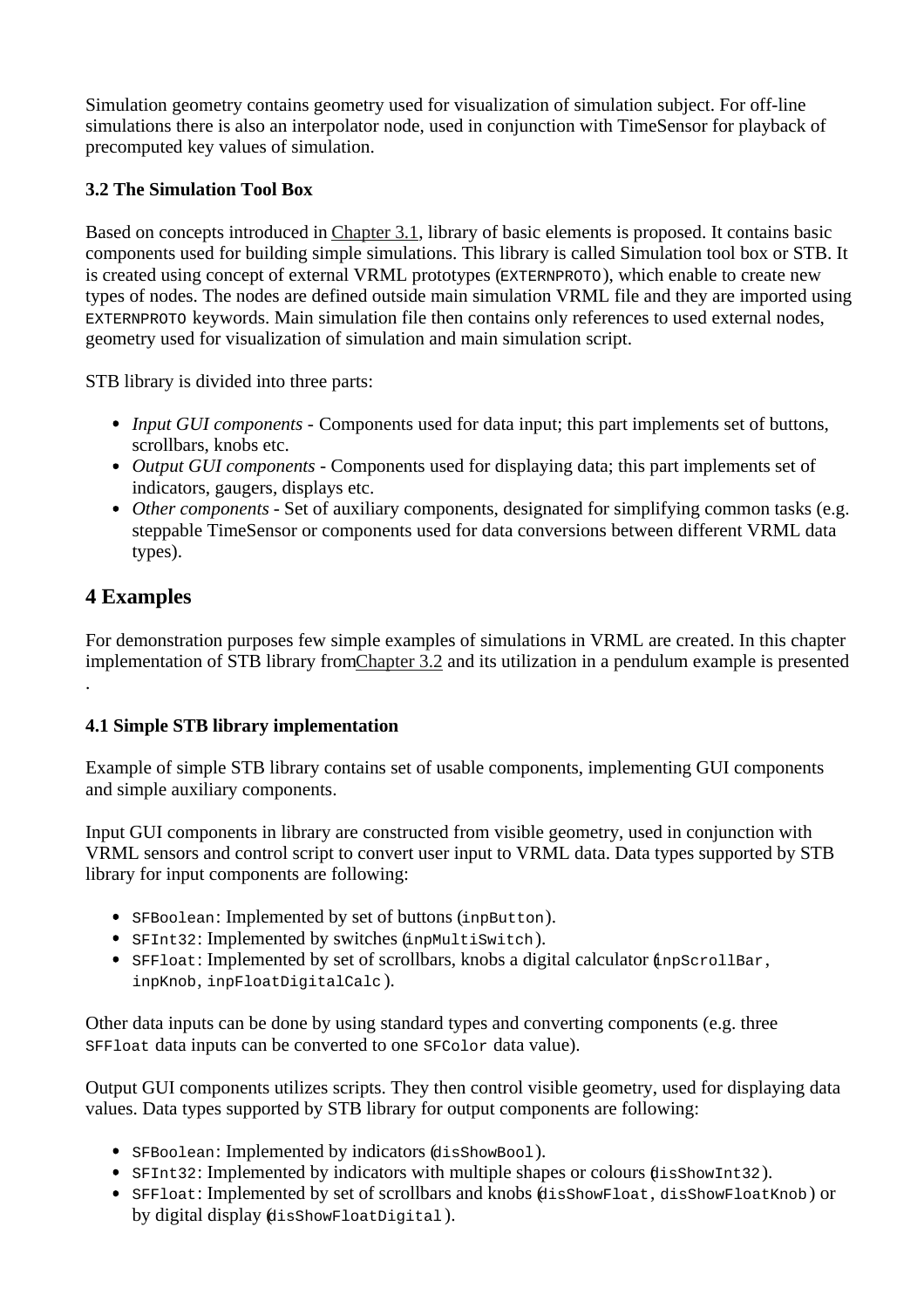Simulation geometry contains geometry used for visualization of simulation subject. For off-line simulations there is also an interpolator node, used in conjunction with TimeSensor for playback of precomputed key values of simulation.

### **3.2 The Simulation Tool Box**

Based on concepts introduced in Chapter 3.1, library of basic elements is proposed. It contains basic components used for building simple simulations. This library is called Simulation tool box or STB. It is created using concept of external VRML prototypes (EXTERNPROTO), which enable to create new types of nodes. The nodes are defined outside main simulation VRML file and they are imported using EXTERNPROTO keywords. Main simulation file then contains only references to used external nodes, geometry used for visualization of simulation and main simulation script.

STB library is divided into three parts:

- *Input GUI components* Components used for data input; this part implements set of buttons, scrollbars, knobs etc.
- *Output GUI components* Components used for displaying data; this part implements set of indicators, gaugers, displays etc.
- *Other components* Set of auxiliary components, designated for simplifying common tasks (e.g. steppable TimeSensor or components used for data conversions between different VRML data types).

## **4 Examples**

.

For demonstration purposes few simple examples of simulations in VRML are created. In this chapter implementation of STB library from Chapter 3.2 and its utilization in a pendulum example is presented

#### **4.1 Simple STB library implementation**

Example of simple STB library contains set of usable components, implementing GUI components and simple auxiliary components.

Input GUI components in library are constructed from visible geometry, used in conjunction with VRML sensors and control script to convert user input to VRML data. Data types supported by STB library for input components are following:

- SFBoolean: Implemented by set of buttons (inpButton).
- SFInt32: Implemented by switches (inpMultiSwitch).
- SFFloat: Implemented by set of scrollbars, knobs a digital calculator  $(n$ pScrollBar, inpKnob, inpFloatDigitalCalc ).

Other data inputs can be done by using standard types and converting components (e.g. three SFFloat data inputs can be converted to one SFColor data value).

Output GUI components utilizes scripts. They then control visible geometry, used for displaying data values. Data types supported by STB library for output components are following:

- SFBoolean: Implemented by indicators (disShowBool).
- SFInt32: Implemented by indicators with multiple shapes or colours (disShowInt32).
- SFFloat: Implemented by set of scrollbars and knobs (disShowFloat, disShowFloatKnob) or by digital display (disShowFloatDigital ).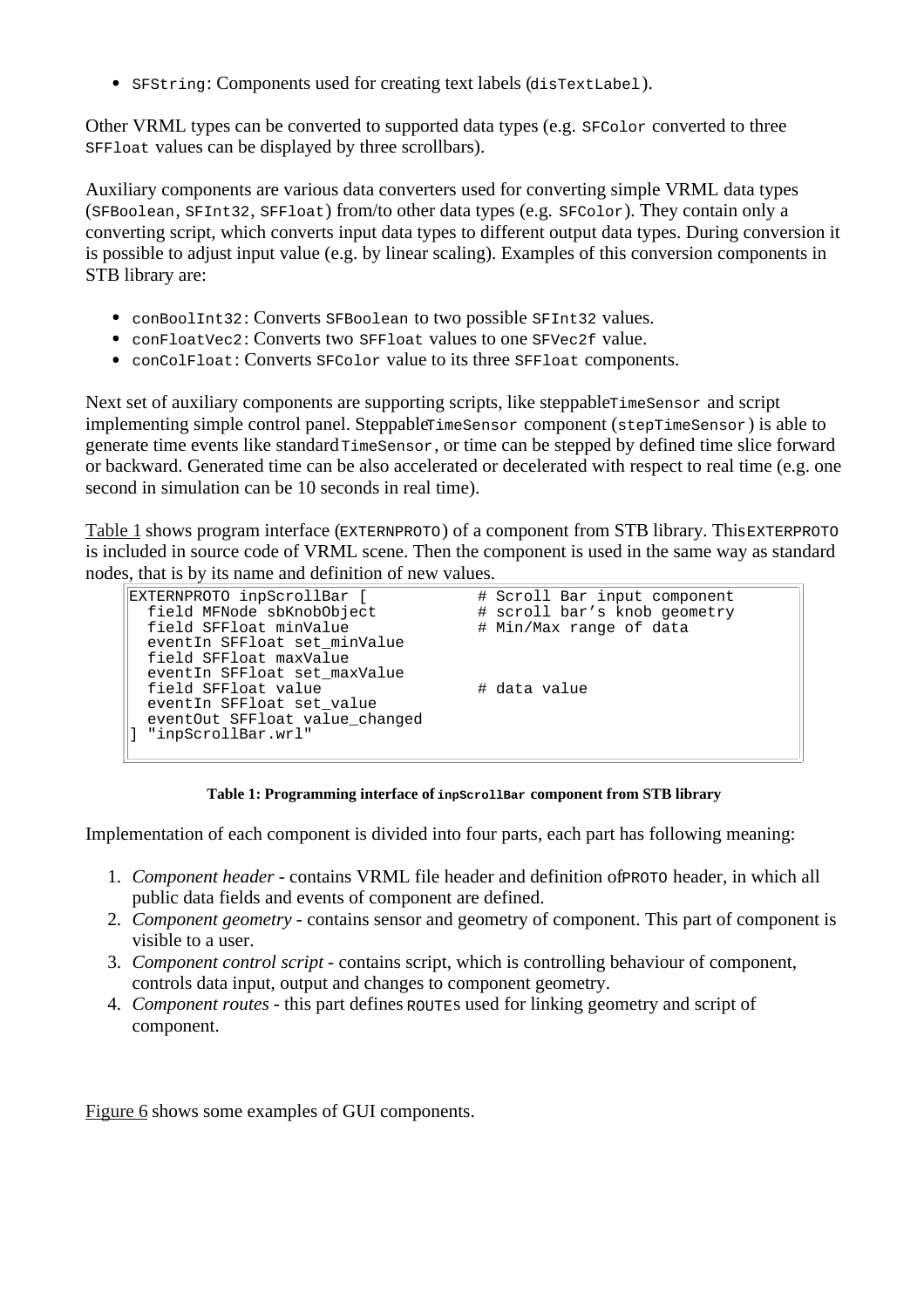SFString: Components used for creating text labels (disTextLabel).

Other VRML types can be converted to supported data types (e.g.  $SFColor$  converted to three SFFloat values can be displayed by three scrollbars).

Auxiliary components are various data converters used for converting simple VRML data types (SFBoolean, SFInt32, SFFloat) from/to other data types (e.g. SFColor). They contain only a converting script, which converts input data types to different output data types. During conversion it is possible to adjust input value (e.g. by linear scaling). Examples of this conversion components in STB library are:

- conBoolInt32: Converts SFBoolean to two possible SFInt32 values.
- conFloatVec2: Converts two SFFloat values to one SFVec2f value.
- conColFloat: Converts SFColor value to its three SFFloat components.

Next set of auxiliary components are supporting scripts, like steppable $T$ imeSensor and script implementing simple control panel. Steppable TimeSensor component (stepTimeSensor) is able to generate time events like standard TimeSensor, or time can be stepped by defined time slice forward or backward. Generated time can be also accelerated or decelerated with respect to real time (e.g. one second in simulation can be 10 seconds in real time).

Table 1 shows program interface (EXTERNPROTO) of a component from STB library. This EXTERPROTO is included in source code of VRML scene. Then the component is used in the same way as standard nodes, that is by its name and definition of new values.

| EXTERNPROTO inpScrollBar [<br>field MFNode sbKnobObject<br>field SFFloat minValue<br>eventIn SFFloat set minValue                                                  | # Scroll Bar input component<br># scroll bar's knob geometry<br># Min/Max range of data |
|--------------------------------------------------------------------------------------------------------------------------------------------------------------------|-----------------------------------------------------------------------------------------|
| field SFFloat maxValue<br>eventIn SFFloat set maxValue<br>field SFFloat value<br>eventIn SFFloat set value<br>eventOut SFFloat value changed<br>"inpScrollBar.wrl" | # data value                                                                            |

**Table 1: Programming interface of inpScrollBar component from STB library**

Implementation of each component is divided into four parts, each part has following meaning:

- 1. *Component header* contains VRML file header and definition of PROTO header, in which all public data fields and events of component are defined.
- 2. *Component geometry* contains sensor and geometry of component. This part of component is visible to a user.
- 3. *Component control script* contains script, which is controlling behaviour of component, controls data input, output and changes to component geometry.
- 4. *Component routes* this part defines ROUTEs used for linking geometry and script of component.

Figure 6 shows some examples of GUI components.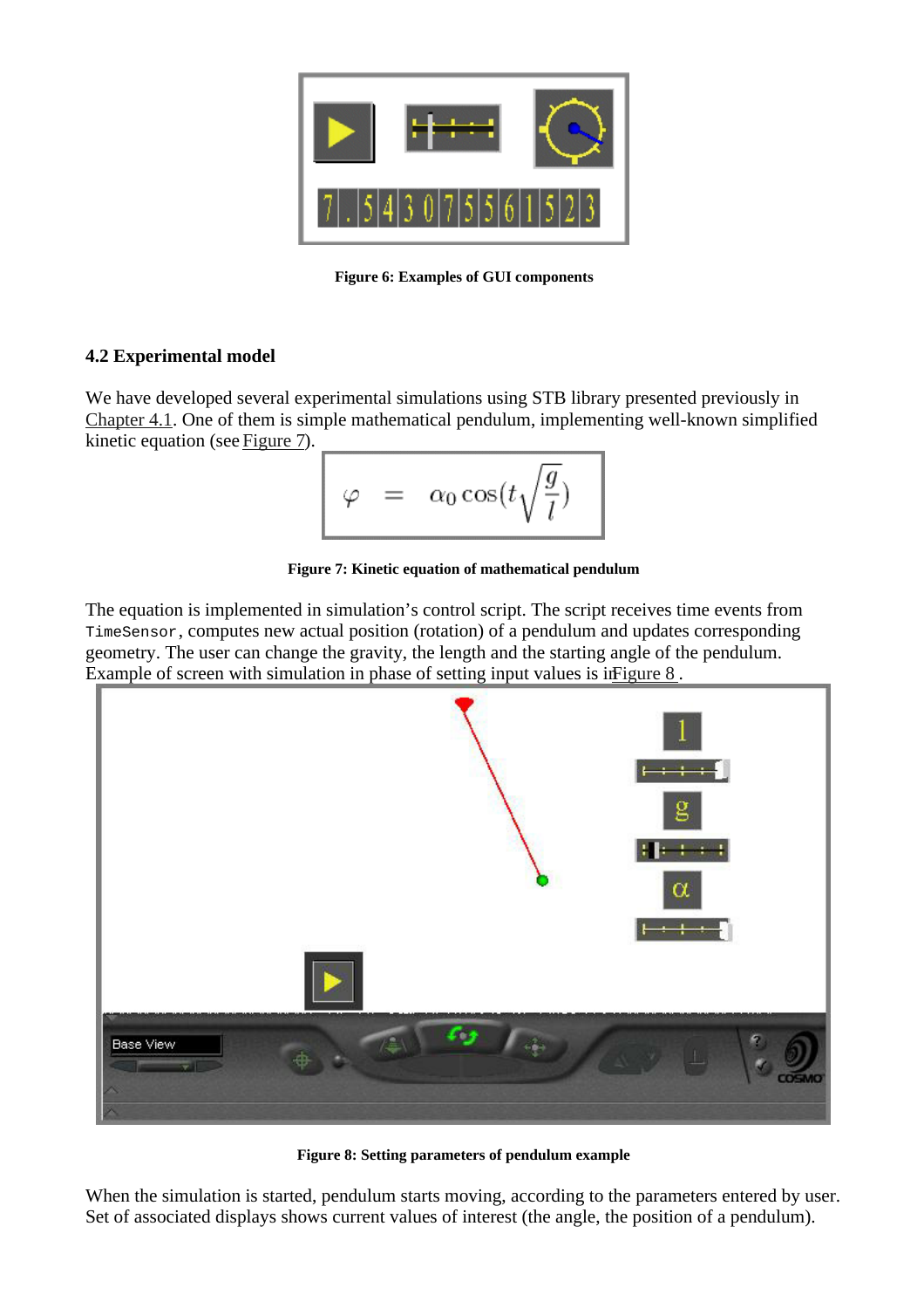

**Figure 6: Examples of GUI components**

## **4.2 Experimental model**

We have developed several experimental simulations using STB library presented previously in Chapter 4.1. One of them is simple mathematical pendulum, implementing well-known simplified kinetic equation (see Figure 7).

$$
\varphi = \alpha_0 \cos(t \sqrt{\frac{g}{l}})
$$

**Figure 7: Kinetic equation of mathematical pendulum**

The equation is implemented in simulation's control script. The script receives time events from TimeSensor, computes new actual position (rotation) of a pendulum and updates corresponding geometry. The user can change the gravity, the length and the starting angle of the pendulum. Example of screen with simulation in phase of setting input values is in Figure 8.



**Figure 8: Setting parameters of pendulum example**

When the simulation is started, pendulum starts moving, according to the parameters entered by user. Set of associated displays shows current values of interest (the angle, the position of a pendulum).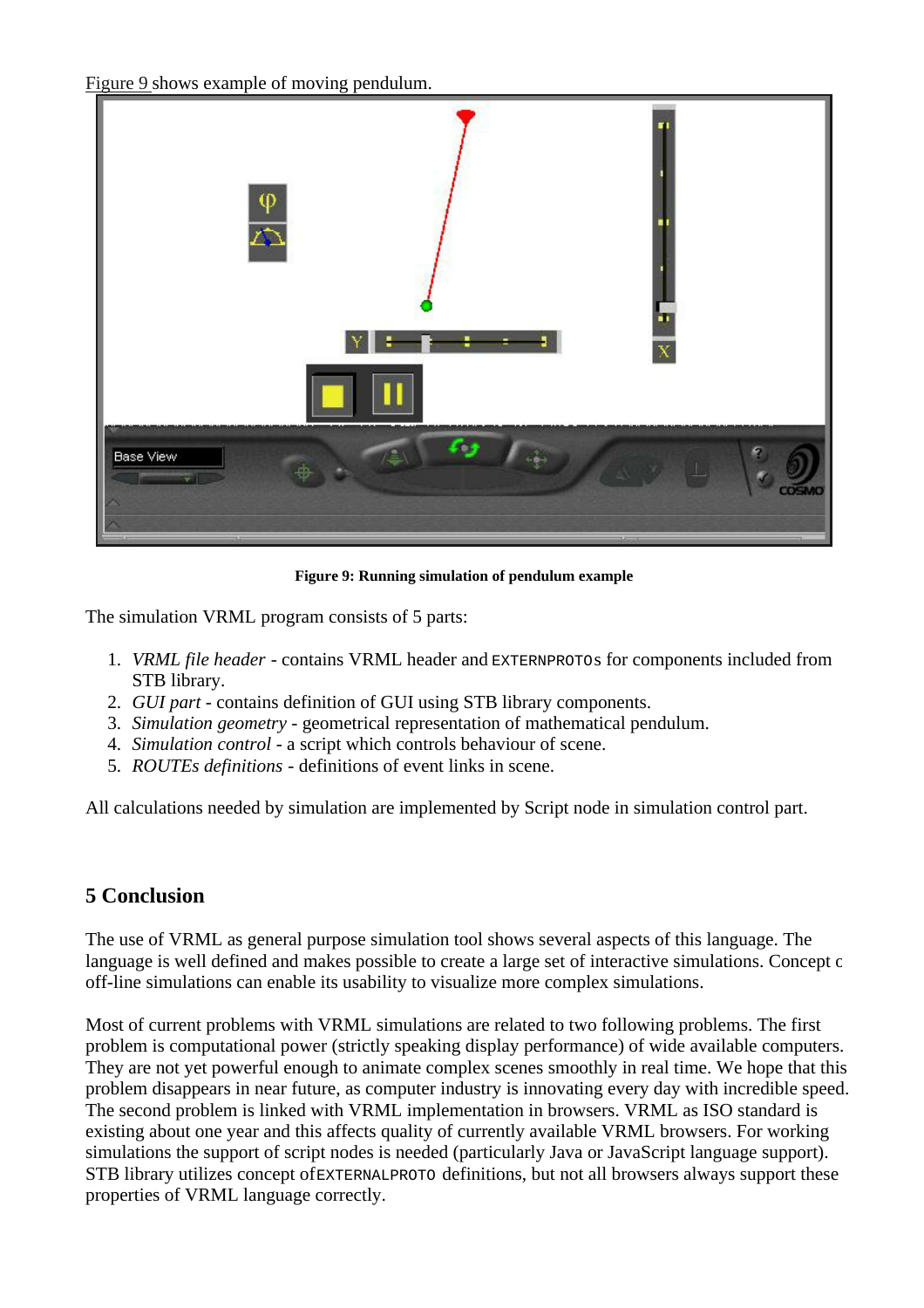Figure 9 shows example of moving pendulum.



**Figure 9: Running simulation of pendulum example**

The simulation VRML program consists of 5 parts:

- 1. *VRML file header* contains VRML header and EXTERNPROTOs for components included from STB library.
- 2. *GUI part* contains definition of GUI using STB library components.
- 3. *Simulation geometry* geometrical representation of mathematical pendulum.
- 4. *Simulation control* a script which controls behaviour of scene.
- 5. *ROUTEs definitions* definitions of event links in scene.

All calculations needed by simulation are implemented by Script node in simulation control part.

# **5 Conclusion**

The use of VRML as general purpose simulation tool shows several aspects of this language. The language is well defined and makes possible to create a large set of interactive simulations. Concept of off-line simulations can enable its usability to visualize more complex simulations.

Most of current problems with VRML simulations are related to two following problems. The first problem is computational power (strictly speaking display performance) of wide available computers. They are not yet powerful enough to animate complex scenes smoothly in real time. We hope that this problem disappears in near future, as computer industry is innovating every day with incredible speed. The second problem is linked with VRML implementation in browsers. VRML as ISO standard is existing about one year and this affects quality of currently available VRML browsers. For working simulations the support of script nodes is needed (particularly Java or JavaScript language support). STB library utilizes concept of EXTERNALPROTO definitions, but not all browsers always support these properties of VRML language correctly.